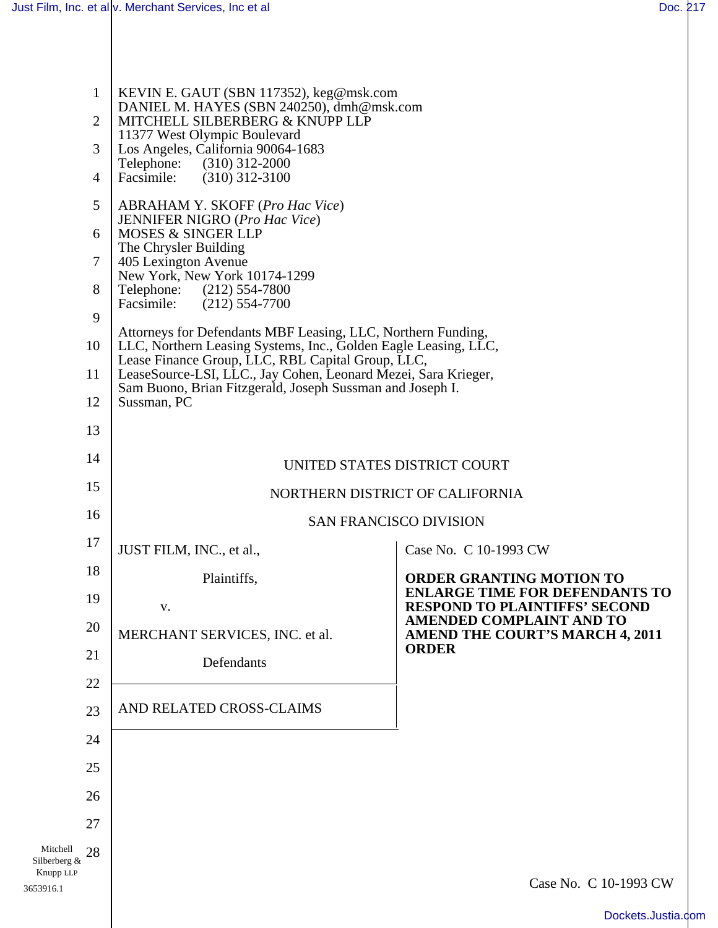3653916.1

| $\mathbf{1}$<br>$\overline{2}$<br>3<br>4 | KEVIN E. GAUT (SBN 117352), keg@msk.com<br>DANIEL M. HAYES (SBN 240250), dmh@msk.com<br>MITCHELL SILBERBERG & KNUPP LLP<br>11377 West Olympic Boulevard<br>Los Angeles, California 90064-1683<br>Telephone: (310) 312-2000<br>Facsimile:<br>$(310)$ 312-3100                                                                                                                                                                                                                                                                                                                                      |                                                                                           |
|------------------------------------------|---------------------------------------------------------------------------------------------------------------------------------------------------------------------------------------------------------------------------------------------------------------------------------------------------------------------------------------------------------------------------------------------------------------------------------------------------------------------------------------------------------------------------------------------------------------------------------------------------|-------------------------------------------------------------------------------------------|
| 5<br>6<br>7<br>8<br>9<br>10<br>11<br>12  | <b>ABRAHAM Y. SKOFF (Pro Hac Vice)</b><br><b>JENNIFER NIGRO</b> (Pro Hac Vice)<br><b>MOSES &amp; SINGER LLP</b><br>The Chrysler Building<br>405 Lexington Avenue<br>New York, New York 10174-1299<br>Telephone: (212) 554-7800<br>Facsimile: (212) 554-7700<br>Attorneys for Defendants MBF Leasing, LLC, Northern Funding,<br>LLC, Northern Leasing Systems, Inc., Golden Eagle Leasing, LLC,<br>Lease Finance Group, LLC, RBL Capital Group, LLC,<br>LeaseSource-LSI, LLC., Jay Cohen, Leonard Mezei, Sara Krieger,<br>Sam Buono, Brian Fitzgerald, Joseph Sussman and Joseph I.<br>Sussman, PC |                                                                                           |
| 13                                       |                                                                                                                                                                                                                                                                                                                                                                                                                                                                                                                                                                                                   |                                                                                           |
| 14                                       | UNITED STATES DISTRICT COURT                                                                                                                                                                                                                                                                                                                                                                                                                                                                                                                                                                      |                                                                                           |
| 15                                       | NORTHERN DISTRICT OF CALIFORNIA                                                                                                                                                                                                                                                                                                                                                                                                                                                                                                                                                                   |                                                                                           |
| 16                                       | <b>SAN FRANCISCO DIVISION</b>                                                                                                                                                                                                                                                                                                                                                                                                                                                                                                                                                                     |                                                                                           |
| 17                                       | JUST FILM, INC., et al.,                                                                                                                                                                                                                                                                                                                                                                                                                                                                                                                                                                          | Case No. C 10-1993 CW                                                                     |
| 18                                       | Plaintiffs,                                                                                                                                                                                                                                                                                                                                                                                                                                                                                                                                                                                       | <b>ORDER GRANTING MOTION TO</b>                                                           |
| 19                                       | V.                                                                                                                                                                                                                                                                                                                                                                                                                                                                                                                                                                                                | <b>ENLARGE TIME FOR DEFENDANTS TO</b><br><b>RESPOND TO PLAINTIFFS' SECOND</b>             |
| 20                                       | MERCHANT SERVICES, INC. et al.                                                                                                                                                                                                                                                                                                                                                                                                                                                                                                                                                                    | <b>AMENDED COMPLAINT AND TO</b><br><b>AMEND THE COURT'S MARCH 4, 2011</b><br><b>ORDER</b> |
| 21                                       | Defendants                                                                                                                                                                                                                                                                                                                                                                                                                                                                                                                                                                                        |                                                                                           |
| 22                                       | AND RELATED CROSS-CLAIMS                                                                                                                                                                                                                                                                                                                                                                                                                                                                                                                                                                          |                                                                                           |
| 23                                       |                                                                                                                                                                                                                                                                                                                                                                                                                                                                                                                                                                                                   |                                                                                           |
| 24                                       |                                                                                                                                                                                                                                                                                                                                                                                                                                                                                                                                                                                                   |                                                                                           |
| 25                                       |                                                                                                                                                                                                                                                                                                                                                                                                                                                                                                                                                                                                   |                                                                                           |
| 26<br>27                                 |                                                                                                                                                                                                                                                                                                                                                                                                                                                                                                                                                                                                   |                                                                                           |
| Mitchell<br>28                           |                                                                                                                                                                                                                                                                                                                                                                                                                                                                                                                                                                                                   |                                                                                           |
| Silberberg &<br>Knupp LLP<br>553916.1    |                                                                                                                                                                                                                                                                                                                                                                                                                                                                                                                                                                                                   | Case No. C 10-1993 CW                                                                     |
|                                          |                                                                                                                                                                                                                                                                                                                                                                                                                                                                                                                                                                                                   |                                                                                           |